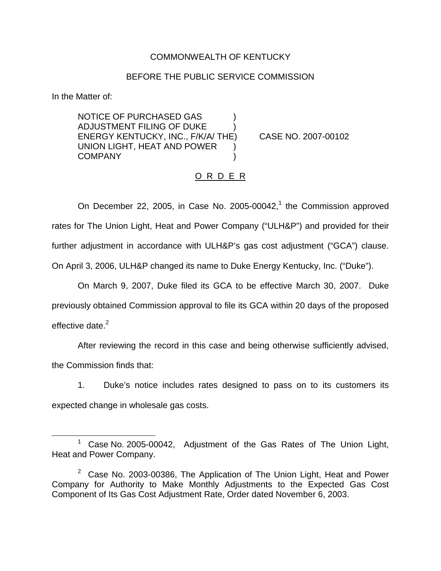## COMMONWEALTH OF KENTUCKY

### BEFORE THE PUBLIC SERVICE COMMISSION

In the Matter of:

NOTICE OF PURCHASED GAS ) ADJUSTMENT FILING OF DUKE ) ENERGY KENTUCKY, INC., F/K/A/ THE) CASE NO. 2007-00102 UNION LIGHT, HEAT AND POWER ) **COMPANY** 

### O R D E R

On December 22, 2005, in Case No. 2005-00042, $<sup>1</sup>$  the Commission approved</sup> rates for The Union Light, Heat and Power Company ("ULH&P") and provided for their further adjustment in accordance with ULH&P's gas cost adjustment ("GCA") clause. On April 3, 2006, ULH&P changed its name to Duke Energy Kentucky, Inc. ("Duke").

On March 9, 2007, Duke filed its GCA to be effective March 30, 2007. Duke previously obtained Commission approval to file its GCA within 20 days of the proposed effective date. $2$ 

After reviewing the record in this case and being otherwise sufficiently advised, the Commission finds that:

1. Duke's notice includes rates designed to pass on to its customers its expected change in wholesale gas costs.

Case No. 2005-00042, Adjustment of the Gas Rates of The Union Light, Heat and Power Company.

 $2$  Case No. 2003-00386, The Application of The Union Light, Heat and Power Company for Authority to Make Monthly Adjustments to the Expected Gas Cost Component of Its Gas Cost Adjustment Rate, Order dated November 6, 2003.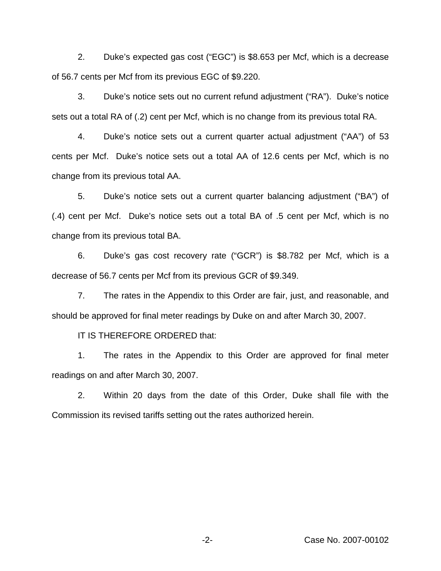2. Duke's expected gas cost ("EGC") is \$8.653 per Mcf, which is a decrease of 56.7 cents per Mcf from its previous EGC of \$9.220.

3. Duke's notice sets out no current refund adjustment ("RA"). Duke's notice sets out a total RA of (.2) cent per Mcf, which is no change from its previous total RA.

4. Duke's notice sets out a current quarter actual adjustment ("AA") of 53 cents per Mcf. Duke's notice sets out a total AA of 12.6 cents per Mcf, which is no change from its previous total AA.

5. Duke's notice sets out a current quarter balancing adjustment ("BA") of (.4) cent per Mcf. Duke's notice sets out a total BA of .5 cent per Mcf, which is no change from its previous total BA.

6. Duke's gas cost recovery rate ("GCR") is \$8.782 per Mcf, which is a decrease of 56.7 cents per Mcf from its previous GCR of \$9.349.

7. The rates in the Appendix to this Order are fair, just, and reasonable, and should be approved for final meter readings by Duke on and after March 30, 2007.

IT IS THEREFORE ORDERED that:

1. The rates in the Appendix to this Order are approved for final meter readings on and after March 30, 2007.

2. Within 20 days from the date of this Order, Duke shall file with the Commission its revised tariffs setting out the rates authorized herein.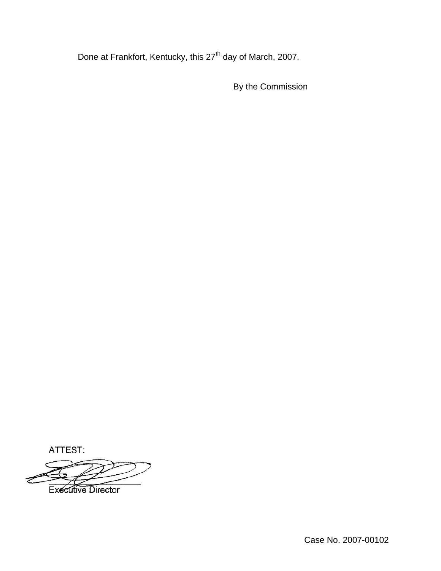Done at Frankfort, Kentucky, this 27<sup>th</sup> day of March, 2007.

By the Commission

ATTEST:

**Executive Director** 

Case No. 2007-00102